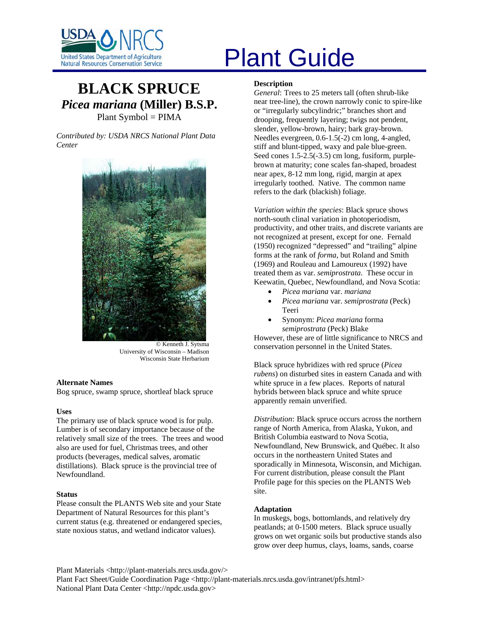

# United States Department of Agriculture<br>Natural Resources Conservation Service

# **BLACK SPRUCE** *Picea mariana* **(Miller) B.S.P.**  Plant Symbol = PIMA

*Contributed by: USDA NRCS National Plant Data Center* 



© Kenneth J. Sytsma University of Wisconsin – Madison Wisconsin State Herbarium

# **Alternate Names**

Bog spruce, swamp spruce, shortleaf black spruce

# **Uses**

The primary use of black spruce wood is for pulp. Lumber is of secondary importance because of the relatively small size of the trees. The trees and wood also are used for fuel, Christmas trees, and other products (beverages, medical salves, aromatic distillations). Black spruce is the provincial tree of Newfoundland.

### **Status**

Please consult the PLANTS Web site and your State Department of Natural Resources for this plant's current status (e.g. threatened or endangered species, state noxious status, and wetland indicator values).

## **Description**

*General*: Trees to 25 meters tall (often shrub-like near tree-line), the crown narrowly conic to spire-like or "irregularly subcylindric;" branches short and drooping, frequently layering; twigs not pendent, slender, yellow-brown, hairy; bark gray-brown. Needles evergreen, 0.6-1.5(-2) cm long, 4-angled, stiff and blunt-tipped, waxy and pale blue-green. Seed cones 1.5-2.5(-3.5) cm long, fusiform, purplebrown at maturity; cone scales fan-shaped, broadest near apex, 8-12 mm long, rigid, margin at apex irregularly toothed. Native. The common name refers to the dark (blackish) foliage.

*Variation within the species*: Black spruce shows north-south clinal variation in photoperiodism, productivity, and other traits, and discrete variants are not recognized at present, except for one. Fernald (1950) recognized "depressed" and "trailing" alpine forms at the rank of *forma*, but Roland and Smith (1969) and Rouleau and Lamoureux (1992) have treated them as var. *semiprostrata*. These occur in Keewatin, Quebec, Newfoundland, and Nova Scotia:

- *Picea mariana* var. *mariana*
- *Picea mariana* var. *semiprostrata* (Peck) Teeri
- Synonym: *Picea mariana* forma *semiprostrata* (Peck) Blake

However, these are of little significance to NRCS and conservation personnel in the United States.

Black spruce hybridizes with red spruce (*Picea rubens*) on disturbed sites in eastern Canada and with white spruce in a few places. Reports of natural hybrids between black spruce and white spruce apparently remain unverified.

*Distribution*: Black spruce occurs across the northern range of North America, from Alaska, Yukon, and British Columbia eastward to Nova Scotia, Newfoundland, New Brunswick, and Québec. It also occurs in the northeastern United States and sporadically in Minnesota, Wisconsin, and Michigan. For current distribution, please consult the Plant Profile page for this species on the PLANTS Web site.

# **Adaptation**

In muskegs, bogs, bottomlands, and relatively dry peatlands; at 0-1500 meters. Black spruce usually grows on wet organic soils but productive stands also grow over deep humus, clays, loams, sands, coarse

Plant Materials <http://plant-materials.nrcs.usda.gov/>

Plant Fact Sheet/Guide Coordination Page <http://plant-materials.nrcs.usda.gov/intranet/pfs.html> National Plant Data Center <http://npdc.usda.gov>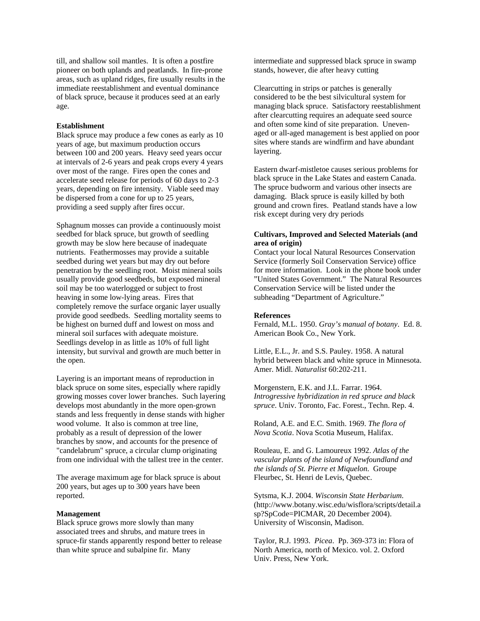till, and shallow soil mantles. It is often a postfire pioneer on both uplands and peatlands. In fire-prone areas, such as upland ridges, fire usually results in the immediate reestablishment and eventual dominance of black spruce, because it produces seed at an early age.

#### **Establishment**

Black spruce may produce a few cones as early as 10 years of age, but maximum production occurs between 100 and 200 years. Heavy seed years occur at intervals of 2-6 years and peak crops every 4 years over most of the range. Fires open the cones and accelerate seed release for periods of 60 days to 2-3 years, depending on fire intensity. Viable seed may be dispersed from a cone for up to 25 years, providing a seed supply after fires occur.

Sphagnum mosses can provide a continuously moist seedbed for black spruce, but growth of seedling growth may be slow here because of inadequate nutrients. Feathermosses may provide a suitable seedbed during wet years but may dry out before penetration by the seedling root. Moist mineral soils usually provide good seedbeds, but exposed mineral soil may be too waterlogged or subject to frost heaving in some low-lying areas. Fires that completely remove the surface organic layer usually provide good seedbeds. Seedling mortality seems to be highest on burned duff and lowest on moss and mineral soil surfaces with adequate moisture. Seedlings develop in as little as 10% of full light intensity, but survival and growth are much better in the open.

Layering is an important means of reproduction in black spruce on some sites, especially where rapidly growing mosses cover lower branches. Such layering develops most abundantly in the more open-grown stands and less frequently in dense stands with higher wood volume. It also is common at tree line, probably as a result of depression of the lower branches by snow, and accounts for the presence of "candelabrum" spruce, a circular clump originating from one individual with the tallest tree in the center.

The average maximum age for black spruce is about 200 years, but ages up to 300 years have been reported.

#### **Management**

Black spruce grows more slowly than many associated trees and shrubs, and mature trees in spruce-fir stands apparently respond better to release than white spruce and subalpine fir. Many

intermediate and suppressed black spruce in swamp stands, however, die after heavy cutting

Clearcutting in strips or patches is generally considered to be the best silvicultural system for managing black spruce. Satisfactory reestablishment after clearcutting requires an adequate seed source and often some kind of site preparation. Unevenaged or all-aged management is best applied on poor sites where stands are windfirm and have abundant layering.

Eastern dwarf-mistletoe causes serious problems for black spruce in the Lake States and eastern Canada. The spruce budworm and various other insects are damaging. Black spruce is easily killed by both ground and crown fires. Peatland stands have a low risk except during very dry periods

# **Cultivars, Improved and Selected Materials (and area of origin)**

Contact your local Natural Resources Conservation Service (formerly Soil Conservation Service) office for more information. Look in the phone book under "United States Government." The Natural Resources Conservation Service will be listed under the subheading "Department of Agriculture."

#### **References**

Fernald, M.L. 1950. *Gray's manual of botany*. Ed. 8. American Book Co., New York.

Little, E.L., Jr. and S.S. Pauley. 1958. A natural hybrid between black and white spruce in Minnesota. Amer. Midl. *Naturalist* 60:202-211.

Morgenstern, E.K. and J.L. Farrar. 1964. *Introgressive hybridization in red spruce and black spruce*. Univ. Toronto, Fac. Forest., Techn. Rep. 4.

Roland, A.E. and E.C. Smith. 1969. *The flora of Nova Scotia*. Nova Scotia Museum, Halifax.

Rouleau, E. and G. Lamoureux 1992. *Atlas of the vascular plants of the island of Newfoundland and the islands of St. Pierre et Miquelon*. Groupe Fleurbec, St. Henri de Levis, Quebec.

Sytsma, K.J. 2004. *Wisconsin State Herbarium*. (http://www.botany.wisc.edu/wisflora/scripts/detail.a sp?SpCode=PICMAR, 20 December 2004). University of Wisconsin, Madison.

Taylor, R.J. 1993. *Picea*. Pp. 369-373 in: Flora of North America, north of Mexico. vol. 2. Oxford Univ. Press, New York.